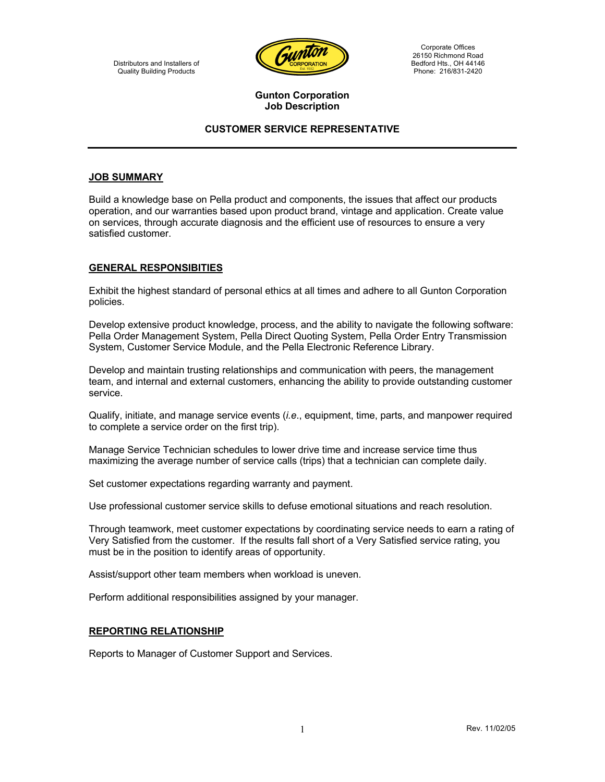Distributors and Installers of Quality Building Products



Corporate Offices 26150 Richmond Road Bedford Hts., OH 44146 Phone: 216/831-2420

### **Gunton Corporation Job Description**

### **CUSTOMER SERVICE REPRESENTATIVE**

### **JOB SUMMARY**

Build a knowledge base on Pella product and components, the issues that affect our products operation, and our warranties based upon product brand, vintage and application. Create value on services, through accurate diagnosis and the efficient use of resources to ensure a very satisfied customer.

### **GENERAL RESPONSIBITIES**

Exhibit the highest standard of personal ethics at all times and adhere to all Gunton Corporation policies.

Develop extensive product knowledge, process, and the ability to navigate the following software: Pella Order Management System, Pella Direct Quoting System, Pella Order Entry Transmission System, Customer Service Module, and the Pella Electronic Reference Library.

Develop and maintain trusting relationships and communication with peers, the management team, and internal and external customers, enhancing the ability to provide outstanding customer service.

Qualify, initiate, and manage service events (*i.e*., equipment, time, parts, and manpower required to complete a service order on the first trip).

Manage Service Technician schedules to lower drive time and increase service time thus maximizing the average number of service calls (trips) that a technician can complete daily.

Set customer expectations regarding warranty and payment.

Use professional customer service skills to defuse emotional situations and reach resolution.

Through teamwork, meet customer expectations by coordinating service needs to earn a rating of Very Satisfied from the customer. If the results fall short of a Very Satisfied service rating, you must be in the position to identify areas of opportunity.

Assist/support other team members when workload is uneven.

Perform additional responsibilities assigned by your manager.

#### **REPORTING RELATIONSHIP**

Reports to Manager of Customer Support and Services.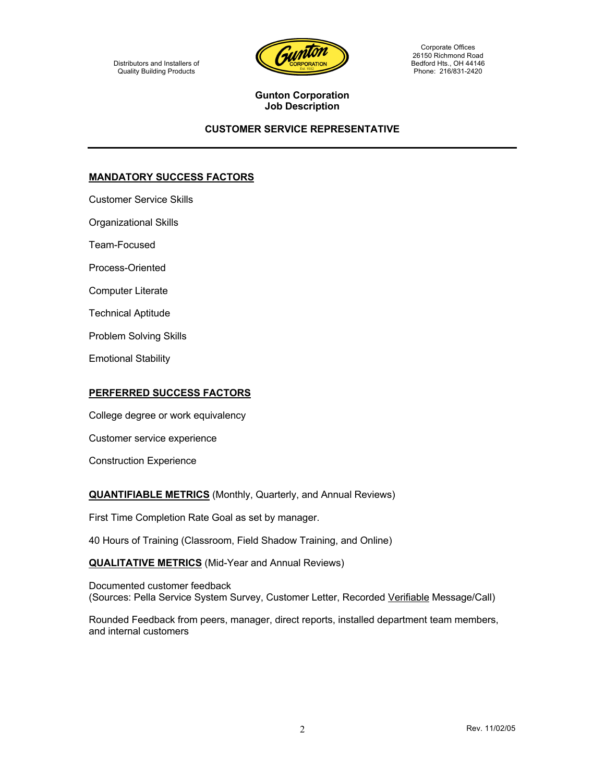

Corporate Offices 26150 Richmond Road Bedford Hts., OH 44146 Phone: 216/831-2420

### **Gunton Corporation Job Description**

# **CUSTOMER SERVICE REPRESENTATIVE**

### **MANDATORY SUCCESS FACTORS**

Customer Service Skills

Organizational Skills

Team-Focused

Process-Oriented

Computer Literate

Technical Aptitude

Problem Solving Skills

Emotional Stability

### **PERFERRED SUCCESS FACTORS**

College degree or work equivalency

Customer service experience

Construction Experience

**QUANTIFIABLE METRICS** (Monthly, Quarterly, and Annual Reviews)

First Time Completion Rate Goal as set by manager.

40 Hours of Training (Classroom, Field Shadow Training, and Online)

**QUALITATIVE METRICS** (Mid-Year and Annual Reviews)

Documented customer feedback (Sources: Pella Service System Survey, Customer Letter, Recorded Verifiable Message/Call)

Rounded Feedback from peers, manager, direct reports, installed department team members, and internal customers